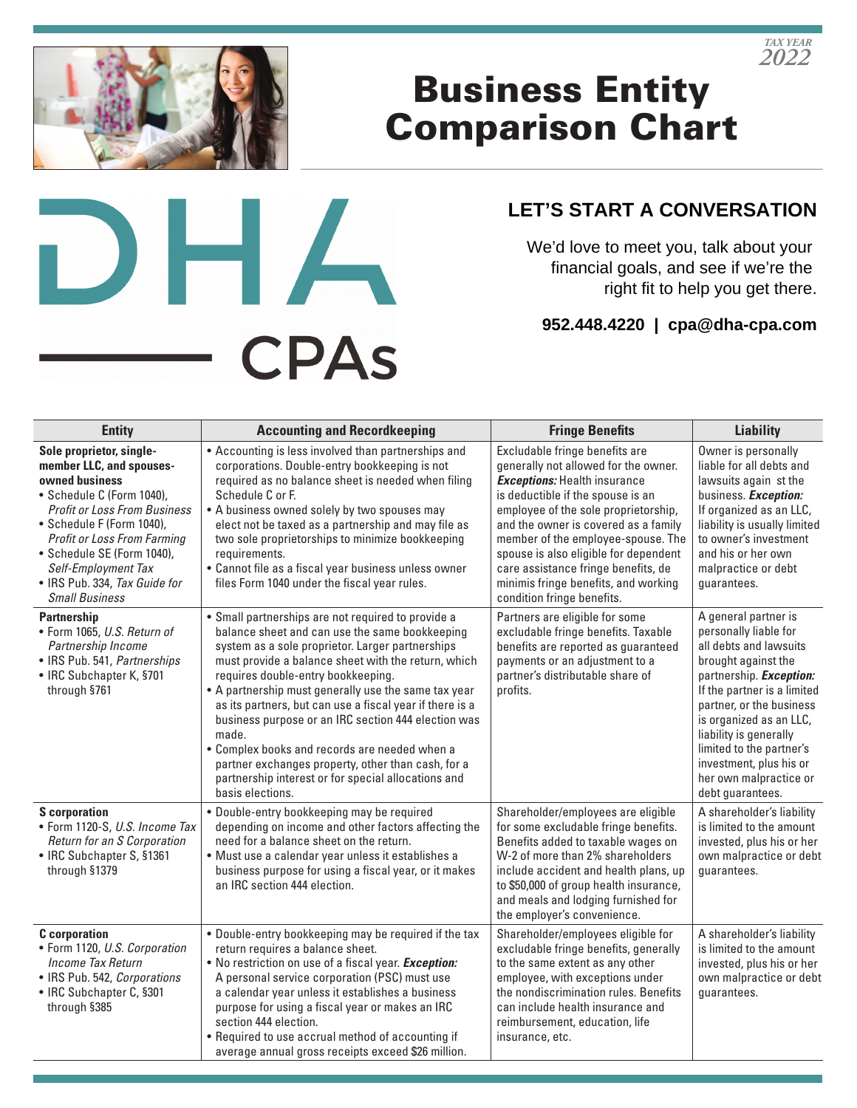

## Business Entity Comparison Chart



## **LET'S START A CONVERSATION**

We'd love to meet you, talk about your financial goals, and see if we're the right fit to help you get there.

**952.448.4220 | cpa@dha-cpa.com**

| <b>Entity</b>                                                                                                                                                                                                                                                                                                                | <b>Accounting and Recordkeeping</b>                                                                                                                                                                                                                                                                                                                                                                                                                                                                                                                                                                                         | <b>Fringe Benefits</b>                                                                                                                                                                                                                                                                                                                                                                                                         | <b>Liability</b>                                                                                                                                                                                                                                                                                                                                      |
|------------------------------------------------------------------------------------------------------------------------------------------------------------------------------------------------------------------------------------------------------------------------------------------------------------------------------|-----------------------------------------------------------------------------------------------------------------------------------------------------------------------------------------------------------------------------------------------------------------------------------------------------------------------------------------------------------------------------------------------------------------------------------------------------------------------------------------------------------------------------------------------------------------------------------------------------------------------------|--------------------------------------------------------------------------------------------------------------------------------------------------------------------------------------------------------------------------------------------------------------------------------------------------------------------------------------------------------------------------------------------------------------------------------|-------------------------------------------------------------------------------------------------------------------------------------------------------------------------------------------------------------------------------------------------------------------------------------------------------------------------------------------------------|
| Sole proprietor, single-<br>member LLC, and spouses-<br>owned business<br>• Schedule C (Form 1040).<br><b>Profit or Loss From Business</b><br>• Schedule F (Form 1040),<br><b>Profit or Loss From Farming</b><br>· Schedule SE (Form 1040),<br>Self-Employment Tax<br>• IRS Pub. 334, Tax Guide for<br><b>Small Business</b> | • Accounting is less involved than partnerships and<br>corporations. Double-entry bookkeeping is not<br>required as no balance sheet is needed when filing<br>Schedule C or F.<br>• A business owned solely by two spouses may<br>elect not be taxed as a partnership and may file as<br>two sole proprietorships to minimize bookkeeping<br>requirements.<br>• Cannot file as a fiscal year business unless owner<br>files Form 1040 under the fiscal year rules.                                                                                                                                                          | Excludable fringe benefits are<br>generally not allowed for the owner.<br><b>Exceptions:</b> Health insurance<br>is deductible if the spouse is an<br>employee of the sole proprietorship,<br>and the owner is covered as a family<br>member of the employee-spouse. The<br>spouse is also eligible for dependent<br>care assistance fringe benefits, de<br>minimis fringe benefits, and working<br>condition fringe benefits. | Owner is personally<br>liable for all debts and<br>lawsuits again st the<br>business. Exception:<br>If organized as an LLC,<br>liability is usually limited<br>to owner's investment<br>and his or her own<br>malpractice or debt<br>guarantees.                                                                                                      |
| <b>Partnership</b><br>· Form 1065, U.S. Return of<br>Partnership Income<br>• IRS Pub. 541, Partnerships<br>• IRC Subchapter K, §701<br>through §761                                                                                                                                                                          | • Small partnerships are not required to provide a<br>balance sheet and can use the same bookkeeping<br>system as a sole proprietor. Larger partnerships<br>must provide a balance sheet with the return, which<br>requires double-entry bookkeeping.<br>• A partnership must generally use the same tax year<br>as its partners, but can use a fiscal year if there is a<br>business purpose or an IRC section 444 election was<br>made.<br>• Complex books and records are needed when a<br>partner exchanges property, other than cash, for a<br>partnership interest or for special allocations and<br>basis elections. | Partners are eligible for some<br>excludable fringe benefits. Taxable<br>benefits are reported as guaranteed<br>payments or an adjustment to a<br>partner's distributable share of<br>profits.                                                                                                                                                                                                                                 | A general partner is<br>personally liable for<br>all debts and lawsuits<br>brought against the<br>partnership. <b>Exception:</b><br>If the partner is a limited<br>partner, or the business<br>is organized as an LLC,<br>liability is generally<br>limited to the partner's<br>investment, plus his or<br>her own malpractice or<br>debt guarantees. |
| <b>S</b> corporation<br>• Form 1120-S, U.S. Income Tax<br>Return for an S Corporation<br>• IRC Subchapter S, §1361<br>through §1379                                                                                                                                                                                          | · Double-entry bookkeeping may be required<br>depending on income and other factors affecting the<br>need for a balance sheet on the return.<br>· Must use a calendar year unless it establishes a<br>business purpose for using a fiscal year, or it makes<br>an IRC section 444 election.                                                                                                                                                                                                                                                                                                                                 | Shareholder/employees are eligible<br>for some excludable fringe benefits.<br>Benefits added to taxable wages on<br>W-2 of more than 2% shareholders<br>include accident and health plans, up<br>to \$50,000 of group health insurance,<br>and meals and lodging furnished for<br>the employer's convenience.                                                                                                                  | A shareholder's liability<br>is limited to the amount<br>invested, plus his or her<br>own malpractice or debt<br>guarantees.                                                                                                                                                                                                                          |
| <b>C</b> corporation<br>• Form 1120, U.S. Corporation<br>Income Tax Return<br>• IRS Pub. 542, Corporations<br>• IRC Subchapter C, §301<br>through §385                                                                                                                                                                       | . Double-entry bookkeeping may be required if the tax<br>return requires a balance sheet.<br>. No restriction on use of a fiscal year. Exception:<br>A personal service corporation (PSC) must use<br>a calendar year unless it establishes a business<br>purpose for using a fiscal year or makes an IRC<br>section 444 election.<br>• Required to use accrual method of accounting if<br>average annual gross receipts exceed \$26 million.                                                                                                                                                                               | Shareholder/employees eligible for<br>excludable fringe benefits, generally<br>to the same extent as any other<br>employee, with exceptions under<br>the nondiscrimination rules. Benefits<br>can include health insurance and<br>reimbursement, education, life<br>insurance, etc.                                                                                                                                            | A shareholder's liability<br>is limited to the amount<br>invested, plus his or her<br>own malpractice or debt<br>guarantees.                                                                                                                                                                                                                          |